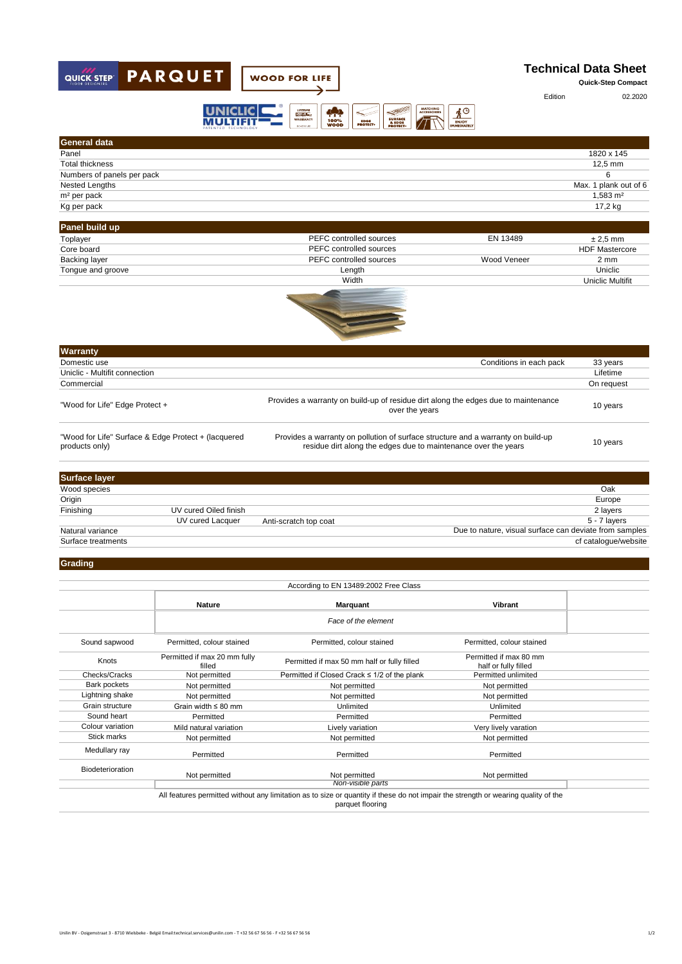

| <b>General data</b>                                                   |                       |                                                                                                                                                    |                         |
|-----------------------------------------------------------------------|-----------------------|----------------------------------------------------------------------------------------------------------------------------------------------------|-------------------------|
| Panel                                                                 |                       |                                                                                                                                                    | 1820 x 145              |
| <b>Total thickness</b>                                                |                       |                                                                                                                                                    | 12,5 mm                 |
| Numbers of panels per pack                                            |                       |                                                                                                                                                    | 6                       |
| Nested Lengths                                                        |                       |                                                                                                                                                    | Max. 1 plank out of 6   |
| m <sup>2</sup> per pack                                               |                       |                                                                                                                                                    | 1,583 m <sup>2</sup>    |
| Kg per pack                                                           |                       |                                                                                                                                                    | 17,2 kg                 |
|                                                                       |                       |                                                                                                                                                    |                         |
| Panel build up                                                        |                       |                                                                                                                                                    |                         |
| Toplayer                                                              |                       | PEFC controlled sources<br>EN 13489                                                                                                                | $± 2.5$ mm              |
| Core board                                                            |                       | PEFC controlled sources                                                                                                                            | <b>HDF Mastercore</b>   |
| <b>Backing layer</b>                                                  |                       | PEFC controlled sources<br>Wood Veneer                                                                                                             | 2 <sub>mm</sub>         |
| Tongue and groove                                                     |                       | Length                                                                                                                                             | Uniclic                 |
|                                                                       |                       | Width                                                                                                                                              | <b>Uniclic Multifit</b> |
|                                                                       |                       |                                                                                                                                                    |                         |
| Warranty                                                              |                       |                                                                                                                                                    |                         |
| Domestic use                                                          |                       | Conditions in each pack                                                                                                                            | 33 years                |
| Uniclic - Multifit connection                                         |                       |                                                                                                                                                    | Lifetime                |
| Commercial                                                            |                       |                                                                                                                                                    | On request              |
| "Wood for Life" Edge Protect +                                        |                       | Provides a warranty on build-up of residue dirt along the edges due to maintenance<br>over the years                                               | 10 years                |
| "Wood for Life" Surface & Edge Protect + (lacquered<br>products only) |                       | Provides a warranty on pollution of surface structure and a warranty on build-up<br>residue dirt along the edges due to maintenance over the years | 10 years                |
|                                                                       |                       |                                                                                                                                                    |                         |
| <b>Surface layer</b>                                                  |                       |                                                                                                                                                    |                         |
| Wood species                                                          |                       |                                                                                                                                                    | Oak                     |
| Origin                                                                |                       |                                                                                                                                                    | Europe                  |
| Finishing                                                             | UV cured Oiled finish |                                                                                                                                                    | 2 layers                |
|                                                                       | UV cured Lacquer      | Anti-scratch top coat                                                                                                                              | 5 - 7 layers            |
| Natural variance                                                      |                       | Due to nature, visual surface can deviate from samples                                                                                             |                         |
| Surface treatments                                                    |                       |                                                                                                                                                    | cf catalogue/website    |
| Augustus Li                                                           |                       |                                                                                                                                                    |                         |

## **Grading**

| According to EN 13489:2002 Free Class |                                                                                                                                                        |                                              |                                                |  |
|---------------------------------------|--------------------------------------------------------------------------------------------------------------------------------------------------------|----------------------------------------------|------------------------------------------------|--|
|                                       | <b>Nature</b>                                                                                                                                          | <b>Marquant</b>                              | Vibrant                                        |  |
|                                       |                                                                                                                                                        | Face of the element                          |                                                |  |
| Sound sapwood                         | Permitted, colour stained                                                                                                                              | Permitted, colour stained                    | Permitted, colour stained                      |  |
| Knots                                 | Permitted if max 20 mm fully<br>filled                                                                                                                 | Permitted if max 50 mm half or fully filled  | Permitted if max 80 mm<br>half or fully filled |  |
| Checks/Cracks                         | Not permitted                                                                                                                                          | Permitted if Closed Crack ≤ 1/2 of the plank | Permitted unlimited                            |  |
| Bark pockets                          | Not permitted                                                                                                                                          | Not permitted                                | Not permitted                                  |  |
| Lightning shake                       | Not permitted                                                                                                                                          | Not permitted                                | Not permitted                                  |  |
| Grain structure                       | Grain width $\leq 80$ mm                                                                                                                               | Unlimited                                    | Unlimited                                      |  |
| Sound heart                           | Permitted                                                                                                                                              | Permitted                                    | Permitted                                      |  |
| Colour variation                      | Mild natural variation                                                                                                                                 | Lively variation                             | Very lively varation                           |  |
| Stick marks                           | Not permitted                                                                                                                                          | Not permitted                                | Not permitted                                  |  |
| Medullary ray                         | Permitted                                                                                                                                              | Permitted                                    | Permitted                                      |  |
| <b>Biodeterioration</b>               | Not permitted                                                                                                                                          | Not permitted                                | Not permitted                                  |  |
|                                       | Non-visible parts                                                                                                                                      |                                              |                                                |  |
|                                       | All features permitted without any limitation as to size or quantity if these do not impair the strength or wearing quality of the<br>parquet flooring |                                              |                                                |  |